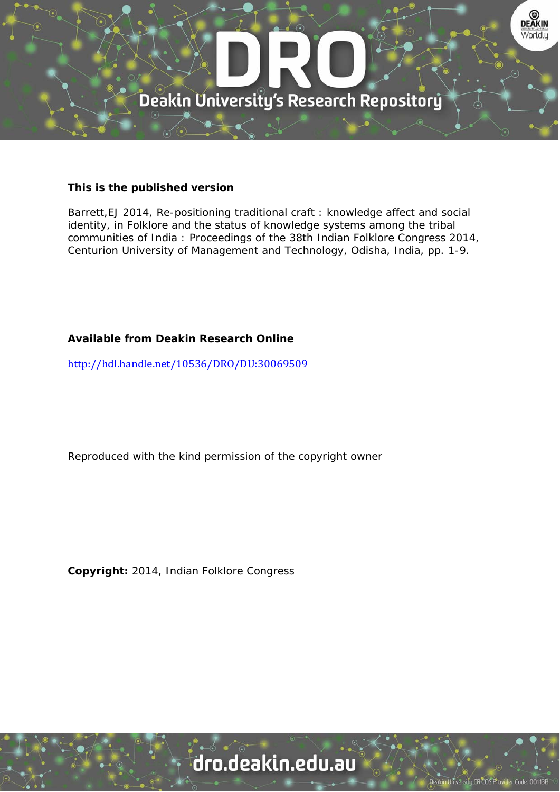

## **This is the published version**

Barrett,EJ 2014, Re-positioning traditional craft : knowledge affect and social identity, in Folklore and the status of knowledge systems among the tribal communities of India : Proceedings of the 38th Indian Folklore Congress 2014, Centurion University of Management and Technology, Odisha, India, pp. 1-9.

## **Available from Deakin Research Online**

http://hdl.handle.net/10536/DRO/DU:30069509

Reproduced with the kind permission of the copyright owner

**Copyright:** 2014, Indian Folklore Congress

# dro.deakin.edu.au

ity CRICOS Pro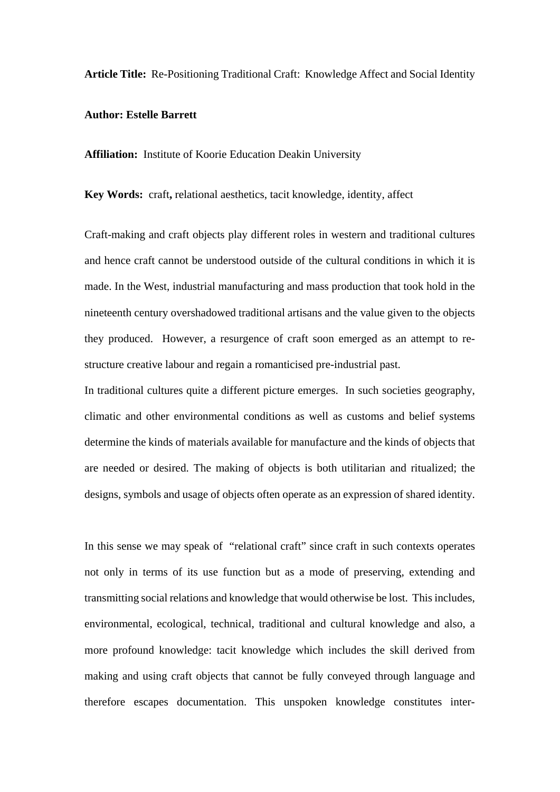**Article Title:** Re-Positioning Traditional Craft: Knowledge Affect and Social Identity

## **Author: Estelle Barrett**

**Affiliation:** Institute of Koorie Education Deakin University

**Key Words:** craft**,** relational aesthetics, tacit knowledge, identity, affect

Craft-making and craft objects play different roles in western and traditional cultures and hence craft cannot be understood outside of the cultural conditions in which it is made. In the West, industrial manufacturing and mass production that took hold in the nineteenth century overshadowed traditional artisans and the value given to the objects they produced. However, a resurgence of craft soon emerged as an attempt to restructure creative labour and regain a romanticised pre-industrial past.

In traditional cultures quite a different picture emerges. In such societies geography, climatic and other environmental conditions as well as customs and belief systems determine the kinds of materials available for manufacture and the kinds of objects that are needed or desired. The making of objects is both utilitarian and ritualized; the designs, symbols and usage of objects often operate as an expression of shared identity.

In this sense we may speak of "relational craft" since craft in such contexts operates not only in terms of its use function but as a mode of preserving, extending and transmitting social relations and knowledge that would otherwise be lost. This includes, environmental, ecological, technical, traditional and cultural knowledge and also, a more profound knowledge: tacit knowledge which includes the skill derived from making and using craft objects that cannot be fully conveyed through language and therefore escapes documentation. This unspoken knowledge constitutes inter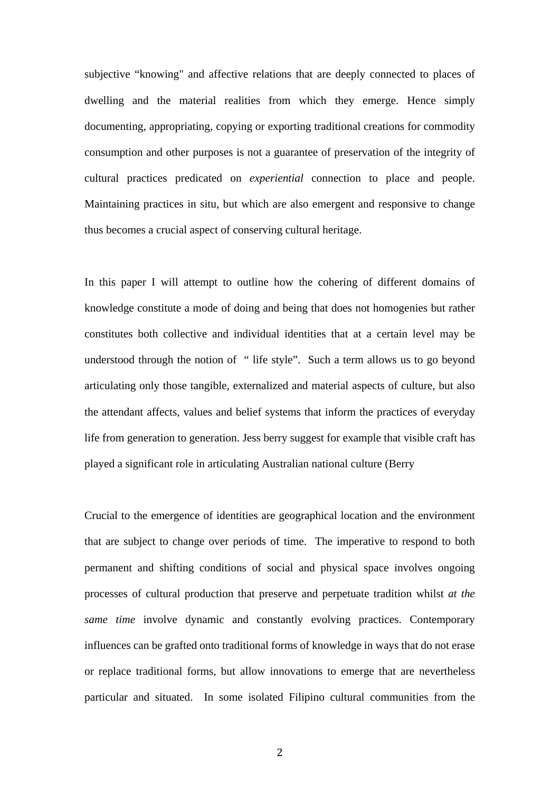subjective "knowing" and affective relations that are deeply connected to places of dwelling and the material realities from which they emerge. Hence simply documenting, appropriating, copying or exporting traditional creations for commodity consumption and other purposes is not a guarantee of preservation of the integrity of cultural practices predicated on *experiential* connection to place and people. Maintaining practices in situ, but which are also emergent and responsive to change thus becomes a crucial aspect of conserving cultural heritage.

In this paper I will attempt to outline how the cohering of different domains of knowledge constitute a mode of doing and being that does not homogenies but rather constitutes both collective and individual identities that at a certain level may be understood through the notion of " life style". Such a term allows us to go beyond articulating only those tangible, externalized and material aspects of culture, but also the attendant affects, values and belief systems that inform the practices of everyday life from generation to generation. Jess berry suggest for example that visible craft has played a significant role in articulating Australian national culture (Berry

Crucial to the emergence of identities are geographical location and the environment that are subject to change over periods of time. The imperative to respond to both permanent and shifting conditions of social and physical space involves ongoing processes of cultural production that preserve and perpetuate tradition whilst *at the same time* involve dynamic and constantly evolving practices. Contemporary influences can be grafted onto traditional forms of knowledge in ways that do not erase or replace traditional forms, but allow innovations to emerge that are nevertheless particular and situated. In some isolated Filipino cultural communities from the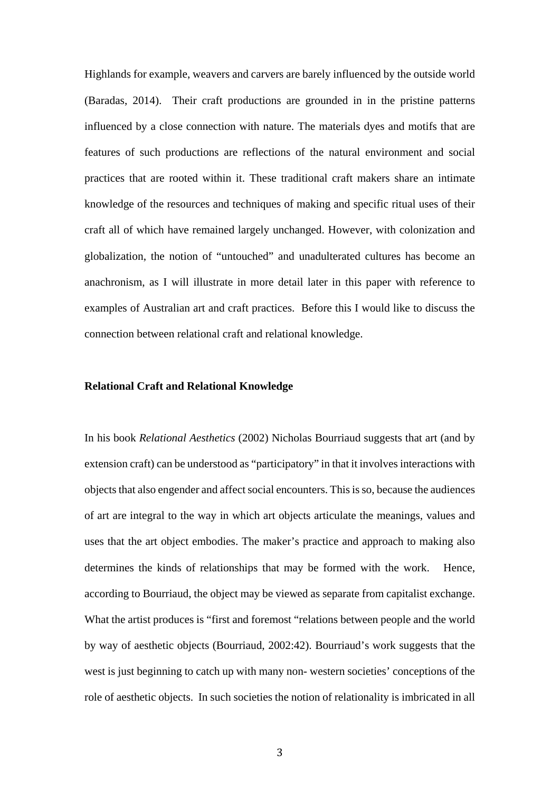Highlands for example, weavers and carvers are barely influenced by the outside world (Baradas, 2014). Their craft productions are grounded in in the pristine patterns influenced by a close connection with nature. The materials dyes and motifs that are features of such productions are reflections of the natural environment and social practices that are rooted within it. These traditional craft makers share an intimate knowledge of the resources and techniques of making and specific ritual uses of their craft all of which have remained largely unchanged. However, with colonization and globalization, the notion of "untouched" and unadulterated cultures has become an anachronism, as I will illustrate in more detail later in this paper with reference to examples of Australian art and craft practices. Before this I would like to discuss the connection between relational craft and relational knowledge.

## **Relational Craft and Relational Knowledge**

In his book *Relational Aesthetics* (2002) Nicholas Bourriaud suggests that art (and by extension craft) can be understood as "participatory" in that it involves interactions with objects that also engender and affect social encounters. This is so, because the audiences of art are integral to the way in which art objects articulate the meanings, values and uses that the art object embodies. The maker's practice and approach to making also determines the kinds of relationships that may be formed with the work. Hence, according to Bourriaud, the object may be viewed as separate from capitalist exchange. What the artist produces is "first and foremost "relations between people and the world by way of aesthetic objects (Bourriaud, 2002:42). Bourriaud's work suggests that the west is just beginning to catch up with many non- western societies' conceptions of the role of aesthetic objects. In such societies the notion of relationality is imbricated in all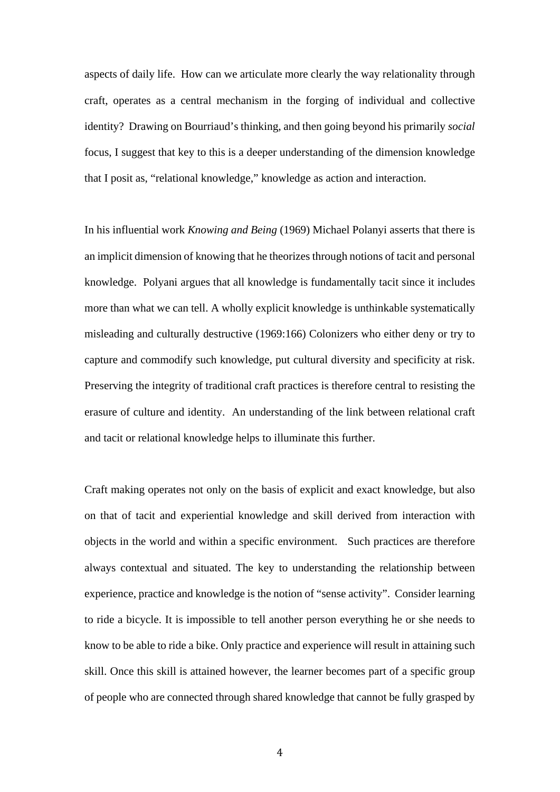aspects of daily life. How can we articulate more clearly the way relationality through craft, operates as a central mechanism in the forging of individual and collective identity? Drawing on Bourriaud's thinking, and then going beyond his primarily *social* focus, I suggest that key to this is a deeper understanding of the dimension knowledge that I posit as, "relational knowledge," knowledge as action and interaction.

In his influential work *Knowing and Being* (1969) Michael Polanyi asserts that there is an implicit dimension of knowing that he theorizes through notions of tacit and personal knowledge. Polyani argues that all knowledge is fundamentally tacit since it includes more than what we can tell. A wholly explicit knowledge is unthinkable systematically misleading and culturally destructive (1969:166) Colonizers who either deny or try to capture and commodify such knowledge, put cultural diversity and specificity at risk. Preserving the integrity of traditional craft practices is therefore central to resisting the erasure of culture and identity. An understanding of the link between relational craft and tacit or relational knowledge helps to illuminate this further.

Craft making operates not only on the basis of explicit and exact knowledge, but also on that of tacit and experiential knowledge and skill derived from interaction with objects in the world and within a specific environment. Such practices are therefore always contextual and situated. The key to understanding the relationship between experience, practice and knowledge is the notion of "sense activity". Consider learning to ride a bicycle. It is impossible to tell another person everything he or she needs to know to be able to ride a bike. Only practice and experience will result in attaining such skill. Once this skill is attained however, the learner becomes part of a specific group of people who are connected through shared knowledge that cannot be fully grasped by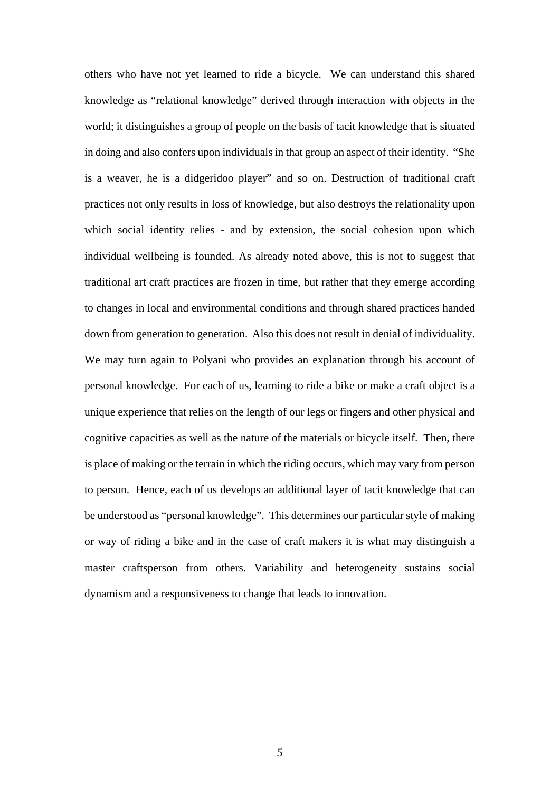others who have not yet learned to ride a bicycle. We can understand this shared knowledge as "relational knowledge" derived through interaction with objects in the world; it distinguishes a group of people on the basis of tacit knowledge that is situated in doing and also confers upon individuals in that group an aspect of their identity. "She is a weaver, he is a didgeridoo player" and so on. Destruction of traditional craft practices not only results in loss of knowledge, but also destroys the relationality upon which social identity relies - and by extension, the social cohesion upon which individual wellbeing is founded. As already noted above, this is not to suggest that traditional art craft practices are frozen in time, but rather that they emerge according to changes in local and environmental conditions and through shared practices handed down from generation to generation. Also this does not result in denial of individuality. We may turn again to Polyani who provides an explanation through his account of personal knowledge. For each of us, learning to ride a bike or make a craft object is a unique experience that relies on the length of our legs or fingers and other physical and cognitive capacities as well as the nature of the materials or bicycle itself. Then, there is place of making or the terrain in which the riding occurs, which may vary from person to person. Hence, each of us develops an additional layer of tacit knowledge that can be understood as "personal knowledge". This determines our particular style of making or way of riding a bike and in the case of craft makers it is what may distinguish a master craftsperson from others. Variability and heterogeneity sustains social dynamism and a responsiveness to change that leads to innovation.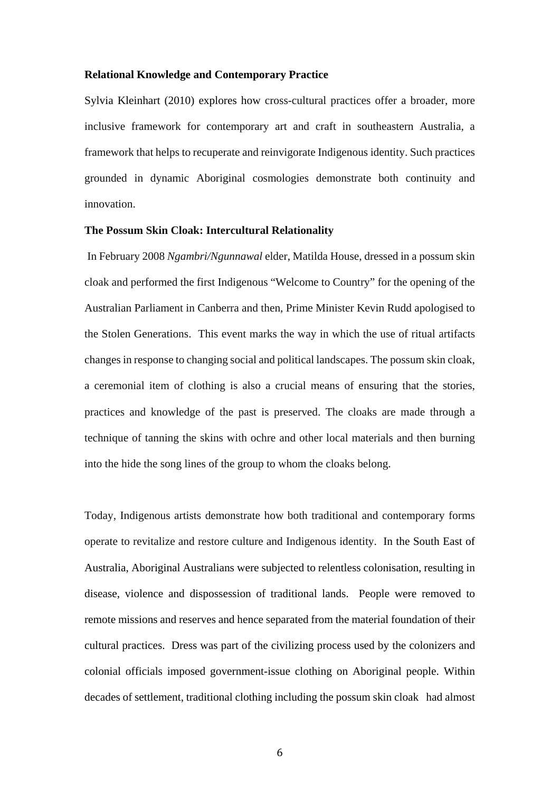#### **Relational Knowledge and Contemporary Practice**

Sylvia Kleinhart (2010) explores how cross-cultural practices offer a broader, more inclusive framework for contemporary art and craft in southeastern Australia, a framework that helps to recuperate and reinvigorate Indigenous identity. Such practices grounded in dynamic Aboriginal cosmologies demonstrate both continuity and innovation.

#### **The Possum Skin Cloak: Intercultural Relationality**

 In February 2008 *Ngambri/Ngunnawal* elder, Matilda House, dressed in a possum skin cloak and performed the first Indigenous "Welcome to Country" for the opening of the Australian Parliament in Canberra and then, Prime Minister Kevin Rudd apologised to the Stolen Generations. This event marks the way in which the use of ritual artifacts changes in response to changing social and political landscapes. The possum skin cloak, a ceremonial item of clothing is also a crucial means of ensuring that the stories, practices and knowledge of the past is preserved. The cloaks are made through a technique of tanning the skins with ochre and other local materials and then burning into the hide the song lines of the group to whom the cloaks belong.

Today, Indigenous artists demonstrate how both traditional and contemporary forms operate to revitalize and restore culture and Indigenous identity. In the South East of Australia, Aboriginal Australians were subjected to relentless colonisation, resulting in disease, violence and dispossession of traditional lands. People were removed to remote missions and reserves and hence separated from the material foundation of their cultural practices. Dress was part of the civilizing process used by the colonizers and colonial officials imposed government-issue clothing on Aboriginal people. Within decades of settlement, traditional clothing including the possum skin cloak had almost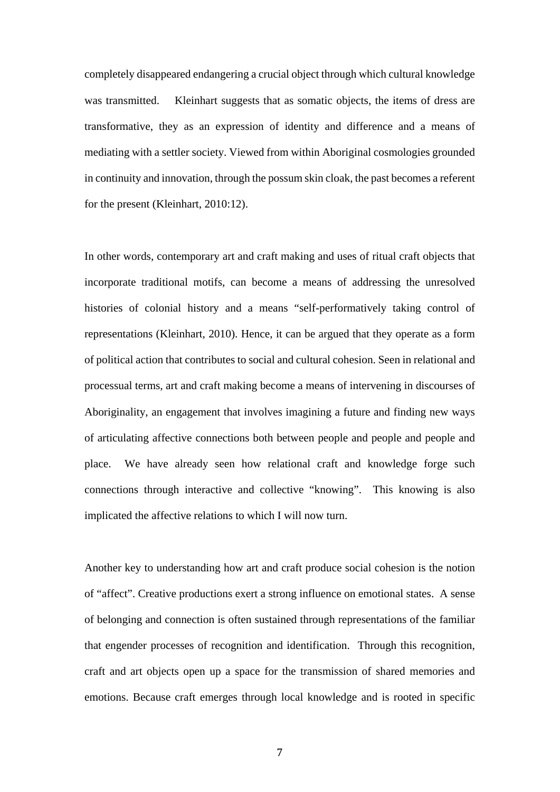completely disappeared endangering a crucial object through which cultural knowledge was transmitted. Kleinhart suggests that as somatic objects, the items of dress are transformative, they as an expression of identity and difference and a means of mediating with a settler society. Viewed from within Aboriginal cosmologies grounded in continuity and innovation, through the possum skin cloak, the past becomes a referent for the present (Kleinhart, 2010:12).

In other words, contemporary art and craft making and uses of ritual craft objects that incorporate traditional motifs, can become a means of addressing the unresolved histories of colonial history and a means "self-performatively taking control of representations (Kleinhart, 2010). Hence, it can be argued that they operate as a form of political action that contributes to social and cultural cohesion. Seen in relational and processual terms, art and craft making become a means of intervening in discourses of Aboriginality, an engagement that involves imagining a future and finding new ways of articulating affective connections both between people and people and people and place. We have already seen how relational craft and knowledge forge such connections through interactive and collective "knowing". This knowing is also implicated the affective relations to which I will now turn.

Another key to understanding how art and craft produce social cohesion is the notion of "affect". Creative productions exert a strong influence on emotional states. A sense of belonging and connection is often sustained through representations of the familiar that engender processes of recognition and identification. Through this recognition, craft and art objects open up a space for the transmission of shared memories and emotions. Because craft emerges through local knowledge and is rooted in specific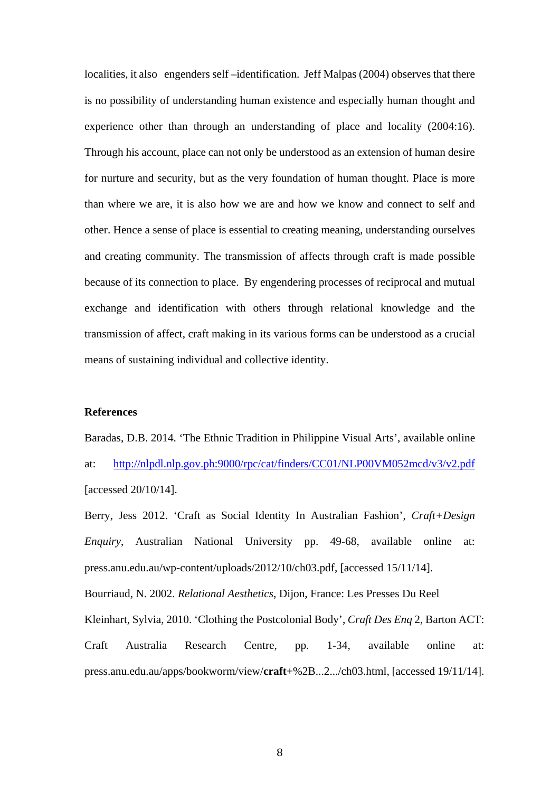localities, it also engenders self –identification. Jeff Malpas (2004) observes that there is no possibility of understanding human existence and especially human thought and experience other than through an understanding of place and locality (2004:16). Through his account, place can not only be understood as an extension of human desire for nurture and security, but as the very foundation of human thought. Place is more than where we are, it is also how we are and how we know and connect to self and other. Hence a sense of place is essential to creating meaning, understanding ourselves and creating community. The transmission of affects through craft is made possible because of its connection to place. By engendering processes of reciprocal and mutual exchange and identification with others through relational knowledge and the transmission of affect, craft making in its various forms can be understood as a crucial means of sustaining individual and collective identity.

## **References**

Baradas, D.B. 2014. 'The Ethnic Tradition in Philippine Visual Arts', available online at: http://nlpdl.nlp.gov.ph:9000/rpc/cat/finders/CC01/NLP00VM052mcd/v3/v2.pdf [accessed 20/10/14].

Berry, Jess 2012. 'Craft as Social Identity In Australian Fashion', *Craft+Design Enquiry*, Australian National University pp. 49-68, available online at: press.anu.edu.au/wp-content/uploads/2012/10/ch03.pdf, [accessed 15/11/14]. Bourriaud, N. 2002. *Relational Aesthetics*, Dijon, France: Les Presses Du Reel Kleinhart, Sylvia, 2010. 'Clothing the Postcolonial Body', *Craft Des Enq* 2, Barton ACT: Craft Australia Research Centre, pp. 1-34, available online at: press.anu.edu.au/apps/bookworm/view/**craft**+%2B...2.../ch03.html, [accessed 19/11/14].